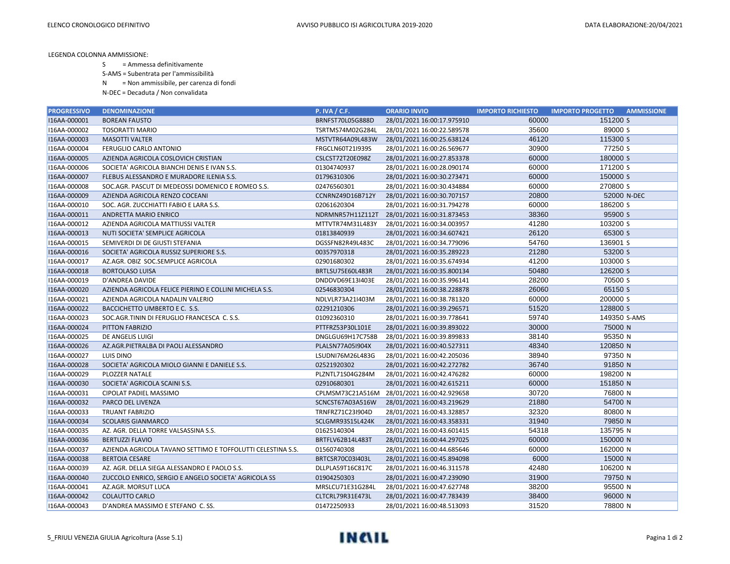LEGENDA COLONNA AMMISSIONE:

S = Ammessa definitivamente

S-AMS = Subentrata per l'ammissibilità

N = Non ammissibile, per carenza di fondi

N-DEC = Decaduta / Non convalidata

| <b>PROGRESSIVO</b> | <b>DENOMINAZIONE</b>                                        | <b>P. IVA / C.F.</b> | <b>ORARIO INVIO</b>        | <b>IMPORTO RICHIESTO</b> | <b>IMPORTO PROGETTO</b><br><b>AMMISSIONE</b> |
|--------------------|-------------------------------------------------------------|----------------------|----------------------------|--------------------------|----------------------------------------------|
| I16AA-000001       | <b>BOREAN FAUSTO</b>                                        | BRNFST70L05G888D     | 28/01/2021 16:00:17.975910 | 60000                    | 151200 S                                     |
| I16AA-000002       | <b>TOSORATTI MARIO</b>                                      | TSRTMS74M02G284L     | 28/01/2021 16:00:22.589578 | 35600                    | 89000 S                                      |
| I16AA-000003       | <b>MASOTTI VALTER</b>                                       | MSTVTR64A09L483W     | 28/01/2021 16:00:25.638124 | 46120                    | 115300 S                                     |
| I16AA-000004       | FERUGLIO CARLO ANTONIO                                      | FRGCLN60T21I939S     | 28/01/2021 16:00:26.569677 | 30900                    | 77250 S                                      |
| I16AA-000005       | AZIENDA AGRICOLA COSLOVICH CRISTIAN                         | CSLCST72T20E098Z     | 28/01/2021 16:00:27.853378 | 60000                    | 180000 S                                     |
| I16AA-000006       | SOCIETA' AGRICOLA BIANCHI DENIS E IVAN S.S.                 | 01304740937          | 28/01/2021 16:00:28.090174 | 60000                    | 171200 S                                     |
| I16AA-000007       | FLEBUS ALESSANDRO E MURADORE ILENIA S.S.                    | 01796310306          | 28/01/2021 16:00:30.273471 | 60000                    | 150000 S                                     |
| I16AA-000008       | SOC.AGR. PASCUT DI MEDEOSSI DOMENICO E ROMEO S.S.           | 02476560301          | 28/01/2021 16:00:30.434884 | 60000                    | 270800 S                                     |
| I16AA-000009       | AZIENDA AGRICOLA RENZO COCEANI                              | CCNRNZ49D16B712Y     | 28/01/2021 16:00:30.707157 | 20800                    | 52000 N-DEC                                  |
| I16AA-000010       | SOC. AGR. ZUCCHIATTI FABIO E LARA S.S.                      | 02061620304          | 28/01/2021 16:00:31.794278 | 60000                    | 186200 S                                     |
| I16AA-000011       | ANDRETTA MARIO ENRICO                                       | NDRMNR57H11Z112T     | 28/01/2021 16:00:31.873453 | 38360                    | 95900 S                                      |
| I16AA-000012       | AZIENDA AGRICOLA MATTIUSSI VALTER                           | MTTVTR74M31L483Y     | 28/01/2021 16:00:34.003957 | 41280                    | 103200 S                                     |
| I16AA-000013       | NUTI SOCIETA' SEMPLICE AGRICOLA                             | 01813840939          | 28/01/2021 16:00:34.607421 | 26120                    | 65300 S                                      |
| I16AA-000015       | SEMIVERDI DI DE GIUSTI STEFANIA                             | DGSSFN82R49L483C     | 28/01/2021 16:00:34.779096 | 54760                    | 136901 S                                     |
| I16AA-000016       | SOCIETA' AGRICOLA RUSSIZ SUPERIORE S.S.                     | 00357970318          | 28/01/2021 16:00:35.289223 | 21280                    | 53200 S                                      |
| I16AA-000017       | AZ.AGR. OBIZ SOC.SEMPLICE AGRICOLA                          | 02901680302          | 28/01/2021 16:00:35.674934 | 41200                    | 103000 S                                     |
| I16AA-000018       | <b>BORTOLASO LUISA</b>                                      | BRTLSU75E60L483R     | 28/01/2021 16:00:35.800134 | 50480                    | 126200 S                                     |
| I16AA-000019       | D'ANDREA DAVIDE                                             | DNDDVD69E13I403E     | 28/01/2021 16:00:35.996141 | 28200                    | 70500 S                                      |
| I16AA-000020       | AZIENDA AGRICOLA FELICE PIERINO E COLLINI MICHELA S.S.      | 02546830304          | 28/01/2021 16:00:38.228878 | 26060                    | 65150 S                                      |
| I16AA-000021       | AZIENDA AGRICOLA NADALIN VALERIO                            | NDLVLR73A21I403M     | 28/01/2021 16:00:38.781320 | 60000                    | 200000 S                                     |
| I16AA-000022       | BACCICHETTO UMBERTO E C. S.S.                               | 02291210306          | 28/01/2021 16:00:39.296571 | 51520                    | 128800 S                                     |
| I16AA-000023       | SOC.AGR.TININ DI FERUGLIO FRANCESCA C.S.S.                  | 01092360310          | 28/01/2021 16:00:39.778641 | 59740                    | 149350 S-AMS                                 |
| I16AA-000024       | PITTON FABRIZIO                                             | PTTFRZ53P30L101E     | 28/01/2021 16:00:39.893022 | 30000                    | 75000 N                                      |
| I16AA-000025       | DE ANGELIS LUIGI                                            | DNGLGU69H17C758B     | 28/01/2021 16:00:39.899833 | 38140                    | 95350 N                                      |
| I16AA-000026       | AZ.AGR.PIETRALBA DI PAOLI ALESSANDRO                        | PLALSN77A05I904X     | 28/01/2021 16:00:40.527311 | 48340                    | 120850 N                                     |
| I16AA-000027       | LUIS DINO                                                   | LSUDNI76M26L483G     | 28/01/2021 16:00:42.205036 | 38940                    | 97350 N                                      |
| I16AA-000028       | SOCIETA' AGRICOLA MIOLO GIANNI E DANIELE S.S.               | 02521920302          | 28/01/2021 16:00:42.272782 | 36740                    | 91850 N                                      |
| I16AA-000029       | PLOZZER NATALE                                              | PLZNTL71S04G284M     | 28/01/2021 16:00:42.476282 | 60000                    | 198200 N                                     |
| I16AA-000030       | SOCIETA' AGRICOLA SCAINI S.S.                               | 02910680301          | 28/01/2021 16:00:42.615211 | 60000                    | 151850 N                                     |
| I16AA-000031       | CIPOLAT PADIEL MASSIMO                                      | CPLMSM73C21A516M     | 28/01/2021 16:00:42.929658 | 30720                    | 76800 N                                      |
| I16AA-000032       | PARCO DEL LIVENZA                                           | SCNCST67A03A516W     | 28/01/2021 16:00:43.219629 | 21880                    | 54700 N                                      |
| I16AA-000033       | <b>TRUANT FABRIZIO</b>                                      | TRNFRZ71C23I904D     | 28/01/2021 16:00:43.328857 | 32320                    | 80800 N                                      |
| I16AA-000034       | <b>SCOLARIS GIANMARCO</b>                                   | SCLGMR93S15L424K     | 28/01/2021 16:00:43.358331 | 31940                    | 79850 N                                      |
| I16AA-000035       | AZ. AGR. DELLA TORRE VALSASSINA S.S.                        | 01625140304          | 28/01/2021 16:00:43.601415 | 54318                    | 135795 N                                     |
| I16AA-000036       | <b>BERTUZZI FLAVIO</b>                                      | BRTFLV62B14L483T     | 28/01/2021 16:00:44.297025 | 60000                    | 150000 N                                     |
| I16AA-000037       | AZIENDA AGRICOLA TAVANO SETTIMO E TOFFOLUTTI CELESTINA S.S. | 01560740308          | 28/01/2021 16:00:44.685646 | 60000                    | 162000 N                                     |
| I16AA-000038       | <b>BERTOIA CESARE</b>                                       | BRTCSR70C03I403L     | 28/01/2021 16:00:45.894098 | 6000                     | 15000 N                                      |
| I16AA-000039       | AZ. AGR. DELLA SIEGA ALESSANDRO E PAOLO S.S.                | DLLPLA59T16C817C     | 28/01/2021 16:00:46.311578 | 42480                    | 106200 N                                     |
| I16AA-000040       | ZUCCOLO ENRICO, SERGIO E ANGELO SOCIETA' AGRICOLA SS        | 01904250303          | 28/01/2021 16:00:47.239090 | 31900                    | 79750 N                                      |
| I16AA-000041       | AZ.AGR. MORSUT LUCA                                         | MRSLCU71E31G284L     | 28/01/2021 16:00:47.627748 | 38200                    | 95500 N                                      |
| I16AA-000042       | <b>COLAUTTO CARLO</b>                                       | CLTCRL79R31E473L     | 28/01/2021 16:00:47.783439 | 38400                    | 96000 N                                      |
| I16AA-000043       | D'ANDREA MASSIMO E STEFANO C. SS.                           | 01472250933          | 28/01/2021 16:00:48.513093 | 31520                    | 78800 N                                      |